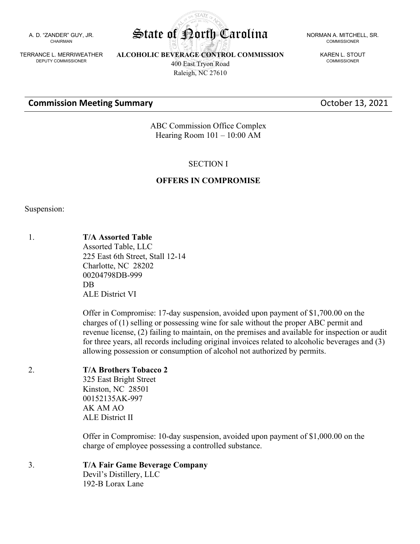A. D. "ZANDER" GUY, JR. CHAIRMAN

TERRANCE L. MERRIWEATHER DEPUTY COMMISSIONER

**ALCOHOLIC BEVERAGE CONTROL COMMISSION** 400 East Tryon Road Raleigh, NC 27610

COMMISSIONER

KAREN L. STOUT COMMISSIONER

## **Commission Meeting Summary Commission Meeting Summary Commission Access 13, 2021**

ABC Commission Office Complex Hearing Room 101 – 10:00 AM

#### SECTION I

#### **OFFERS IN COMPROMISE**

Suspension:

1. **T/A Assorted Table** Assorted Table, LLC 225 East 6th Street, Stall 12-14 Charlotte, NC 28202 00204798DB-999

> ALE District VI Offer in Compromise: 17-day suspension, avoided upon payment of \$1,700.00 on the charges of (1) selling or possessing wine for sale without the proper ABC permit and revenue license, (2) failing to maintain, on the premises and available for inspection or audit for three years, all records including original invoices related to alcoholic beverages and (3) allowing possession or consumption of alcohol not authorized by permits.

## 2. **T/A Brothers Tobacco 2**

DB

325 East Bright Street Kinston, NC 28501 00152135AK-997 AK AM AO ALE District II

Offer in Compromise: 10-day suspension, avoided upon payment of \$1,000.00 on the charge of employee possessing a controlled substance.

#### 3. **T/A Fair Game Beverage Company**

Devil's Distillery, LLC 192-B Lorax Lane

**STATA** State of Porth Carolina NORMAN A. MITCHELL, SR.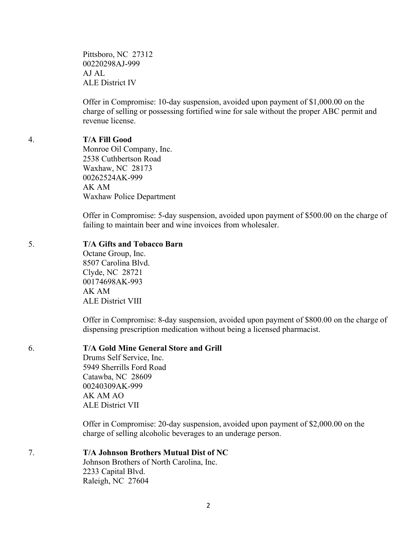Pittsboro, NC 27312 00220298AJ-999 AJ AL ALE District IV

Offer in Compromise: 10-day suspension, avoided upon payment of \$1,000.00 on the charge of selling or possessing fortified wine for sale without the proper ABC permit and revenue license.

#### 4. **T/A Fill Good**

Monroe Oil Company, Inc. 2538 Cuthbertson Road Waxhaw, NC 28173 00262524AK-999 AK AM Waxhaw Police Department

Offer in Compromise: 5-day suspension, avoided upon payment of \$500.00 on the charge of failing to maintain beer and wine invoices from wholesaler.

#### 5. **T/A Gifts and Tobacco Barn**

Octane Group, Inc. 8507 Carolina Blvd. Clyde, NC 28721 00174698AK-993 AK AM ALE District VIII

Offer in Compromise: 8-day suspension, avoided upon payment of \$800.00 on the charge of dispensing prescription medication without being a licensed pharmacist.

## 6. **T/A Gold Mine General Store and Grill**

Drums Self Service, Inc. 5949 Sherrills Ford Road Catawba, NC 28609 00240309AK-999 AK AM AO ALE District VII

Offer in Compromise: 20-day suspension, avoided upon payment of \$2,000.00 on the charge of selling alcoholic beverages to an underage person.

#### 7. **T/A Johnson Brothers Mutual Dist of NC**

Johnson Brothers of North Carolina, Inc. 2233 Capital Blvd. Raleigh, NC 27604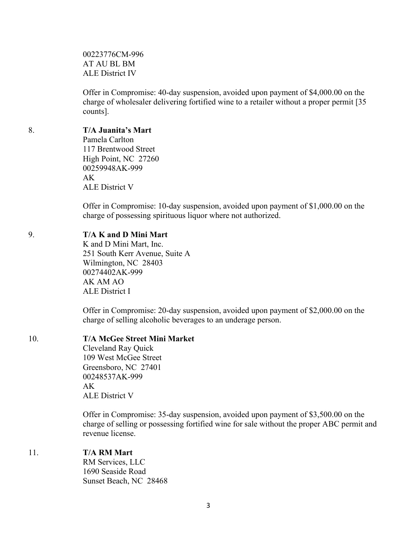00223776CM-996 AT AU BL BM ALE District IV

Offer in Compromise: 40-day suspension, avoided upon payment of \$4,000.00 on the charge of wholesaler delivering fortified wine to a retailer without a proper permit [35 counts].

#### 8. **T/A Juanita's Mart**

Pamela Carlton 117 Brentwood Street High Point, NC 27260 00259948AK-999 AK ALE District V

Offer in Compromise: 10-day suspension, avoided upon payment of \$1,000.00 on the charge of possessing spirituous liquor where not authorized.

## 9. **T/A K and D Mini Mart**

K and D Mini Mart, Inc. 251 South Kerr Avenue, Suite A Wilmington, NC 28403 00274402AK-999 AK AM AO ALE District I

Offer in Compromise: 20-day suspension, avoided upon payment of \$2,000.00 on the charge of selling alcoholic beverages to an underage person.

## 10. **T/A McGee Street Mini Market**

Cleveland Ray Quick 109 West McGee Street Greensboro, NC 27401 00248537AK-999 AK ALE District V

Offer in Compromise: 35-day suspension, avoided upon payment of \$3,500.00 on the charge of selling or possessing fortified wine for sale without the proper ABC permit and revenue license.

#### 11. **T/A RM Mart**

RM Services, LLC 1690 Seaside Road Sunset Beach, NC 28468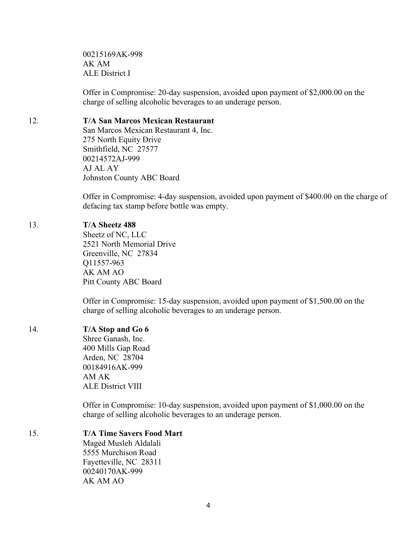00215169AK-998 AK AM ALE District I

Offer in Compromise: 20-day suspension, avoided upon payment of \$2,000.00 on the charge of selling alcoholic beverages to an underage person.

## 12. **T/A San Marcos Mexican Restaurant**

San Marcos Mexican Restaurant 4, Inc. 275 North Equity Drive Smithfield, NC 27577 00214572AJ-999 AJ AL AY Johnston County ABC Board

Offer in Compromise: 4-day suspension, avoided upon payment of \$400.00 on the charge of defacing tax stamp before bottle was empty.

## 13. **T/A Sheetz 488**

Sheetz of NC, LLC 2521 North Memorial Drive Greenville, NC 27834 Q11557-963 AK AM AO Pitt County ABC Board

Offer in Compromise: 15-day suspension, avoided upon payment of \$1,500.00 on the charge of selling alcoholic beverages to an underage person.

## 14. **T/A Stop and Go 6**

Shree Ganash, Inc. 400 Mills Gap Road Arden, NC 28704 00184916AK-999 AM AK ALE District VIII

Offer in Compromise: 10-day suspension, avoided upon payment of \$1,000.00 on the charge of selling alcoholic beverages to an underage person.

## 15. **T/A Time Savers Food Mart**

Maged Musleh Aldalali 5555 Murchison Road Fayetteville, NC 28311 00240170AK-999 AK AM AO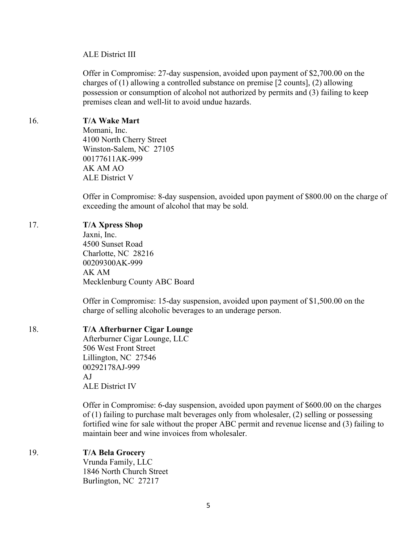#### ALE District III

Offer in Compromise: 27-day suspension, avoided upon payment of \$2,700.00 on the charges of (1) allowing a controlled substance on premise [2 counts], (2) allowing possession or consumption of alcohol not authorized by permits and (3) failing to keep premises clean and well-lit to avoid undue hazards.

## 16. **T/A Wake Mart**

Momani, Inc. 4100 North Cherry Street Winston-Salem, NC 27105 00177611AK-999 AK AM AO ALE District V

Offer in Compromise: 8-day suspension, avoided upon payment of \$800.00 on the charge of exceeding the amount of alcohol that may be sold.

#### 17. **T/A Xpress Shop**

Jaxni, Inc. 4500 Sunset Road Charlotte, NC 28216 00209300AK-999 AK AM Mecklenburg County ABC Board

Offer in Compromise: 15-day suspension, avoided upon payment of \$1,500.00 on the charge of selling alcoholic beverages to an underage person.

#### 18. **T/A Afterburner Cigar Lounge**

Afterburner Cigar Lounge, LLC 506 West Front Street Lillington, NC 27546 00292178AJ-999 AJ ALE District IV

Offer in Compromise: 6-day suspension, avoided upon payment of \$600.00 on the charges of (1) failing to purchase malt beverages only from wholesaler, (2) selling or possessing fortified wine for sale without the proper ABC permit and revenue license and (3) failing to maintain beer and wine invoices from wholesaler.

## 19. **T/A Bela Grocery**

Vrunda Family, LLC 1846 North Church Street Burlington, NC 27217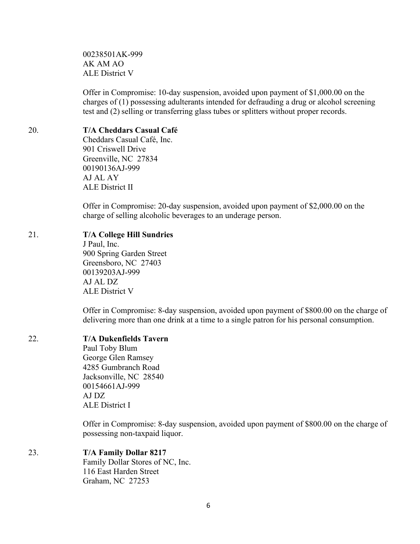00238501AK-999 AK AM AO ALE District V

Offer in Compromise: 10-day suspension, avoided upon payment of \$1,000.00 on the charges of (1) possessing adulterants intended for defrauding a drug or alcohol screening test and (2) selling or transferring glass tubes or splitters without proper records.

## 20. **T/A Cheddars Casual Café**

Cheddars Casual Café, Inc. 901 Criswell Drive Greenville, NC 27834 00190136AJ-999 AJ AL AY ALE District II

Offer in Compromise: 20-day suspension, avoided upon payment of \$2,000.00 on the charge of selling alcoholic beverages to an underage person.

## 21. **T/A College Hill Sundries**

J Paul, Inc. 900 Spring Garden Street Greensboro, NC 27403 00139203AJ-999 AJ AL DZ ALE District V

Offer in Compromise: 8-day suspension, avoided upon payment of \$800.00 on the charge of delivering more than one drink at a time to a single patron for his personal consumption.

# 22. **T/A Dukenfields Tavern**

Paul Toby Blum George Glen Ramsey 4285 Gumbranch Road Jacksonville, NC 28540 00154661AJ-999 AJ DZ ALE District I

Offer in Compromise: 8-day suspension, avoided upon payment of \$800.00 on the charge of possessing non-taxpaid liquor.

# 23. **T/A Family Dollar 8217**

Family Dollar Stores of NC, Inc. 116 East Harden Street Graham, NC 27253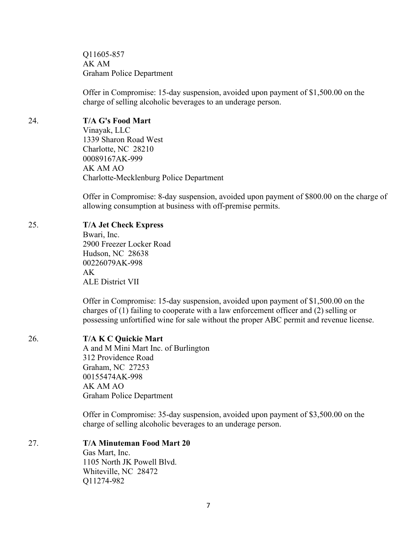Q11605-857 AK AM Graham Police Department

Offer in Compromise: 15-day suspension, avoided upon payment of \$1,500.00 on the charge of selling alcoholic beverages to an underage person.

# 24. **T/A G's Food Mart**

Vinayak, LLC 1339 Sharon Road West Charlotte, NC 28210 00089167AK-999 AK AM AO Charlotte-Mecklenburg Police Department

Offer in Compromise: 8-day suspension, avoided upon payment of \$800.00 on the charge of allowing consumption at business with off-premise permits.

## 25. **T/A Jet Check Express**

Bwari, Inc. 2900 Freezer Locker Road Hudson, NC 28638 00226079AK-998 AK ALE District VII

Offer in Compromise: 15-day suspension, avoided upon payment of \$1,500.00 on the charges of (1) failing to cooperate with a law enforcement officer and (2) selling or possessing unfortified wine for sale without the proper ABC permit and revenue license.

# 26. **T/A K C Quickie Mart**

A and M Mini Mart Inc. of Burlington 312 Providence Road Graham, NC 27253 00155474AK-998 AK AM AO Graham Police Department

Offer in Compromise: 35-day suspension, avoided upon payment of \$3,500.00 on the charge of selling alcoholic beverages to an underage person.

# 27. **T/A Minuteman Food Mart 20**

Gas Mart, Inc. 1105 North JK Powell Blvd. Whiteville, NC 28472 Q11274-982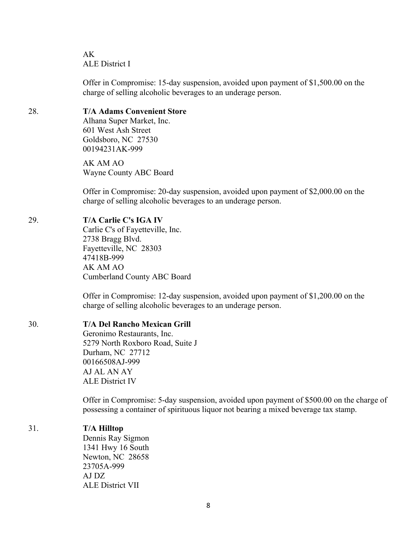AK ALE District I

Offer in Compromise: 15-day suspension, avoided upon payment of \$1,500.00 on the charge of selling alcoholic beverages to an underage person.

# 28. **T/A Adams Convenient Store**

Alhana Super Market, Inc. 601 West Ash Street Goldsboro, NC 27530 00194231AK-999

AK AM AO Wayne County ABC Board

Offer in Compromise: 20-day suspension, avoided upon payment of \$2,000.00 on the charge of selling alcoholic beverages to an underage person.

#### 29. **T/A Carlie C's IGA IV**

Carlie C's of Fayetteville, Inc. 2738 Bragg Blvd. Fayetteville, NC 28303 47418B-999 AK AM AO Cumberland County ABC Board

Offer in Compromise: 12-day suspension, avoided upon payment of \$1,200.00 on the charge of selling alcoholic beverages to an underage person.

#### 30. **T/A Del Rancho Mexican Grill**

Geronimo Restaurants, Inc. 5279 North Roxboro Road, Suite J Durham, NC 27712 00166508AJ-999 AJ AL AN AY ALE District IV

Offer in Compromise: 5-day suspension, avoided upon payment of \$500.00 on the charge of possessing a container of spirituous liquor not bearing a mixed beverage tax stamp.

#### 31. **T/A Hilltop**

Dennis Ray Sigmon 1341 Hwy 16 South Newton, NC 28658 23705A-999 AJ DZ ALE District VII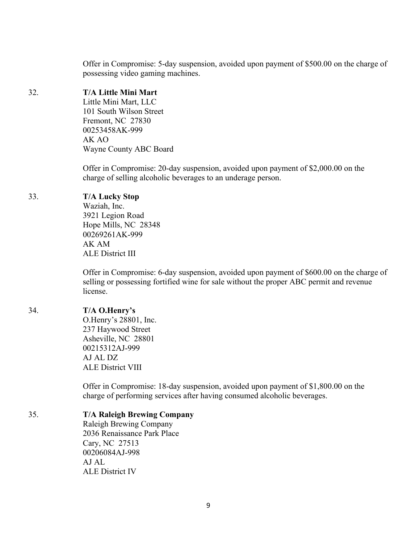Offer in Compromise: 5-day suspension, avoided upon payment of \$500.00 on the charge of possessing video gaming machines.

# 32. **T/A Little Mini Mart**

Little Mini Mart, LLC 101 South Wilson Street Fremont, NC 27830 00253458AK-999 AK AO Wayne County ABC Board

Offer in Compromise: 20-day suspension, avoided upon payment of \$2,000.00 on the charge of selling alcoholic beverages to an underage person.

# 33. **T/A Lucky Stop**

Waziah, Inc. 3921 Legion Road Hope Mills, NC 28348 00269261AK-999 AK AM ALE District III

Offer in Compromise: 6-day suspension, avoided upon payment of \$600.00 on the charge of selling or possessing fortified wine for sale without the proper ABC permit and revenue license.

# 34. **T/A O.Henry's**

O.Henry's 28801, Inc. 237 Haywood Street Asheville, NC 28801 00215312AJ-999 AJ AL DZ ALE District VIII

Offer in Compromise: 18-day suspension, avoided upon payment of \$1,800.00 on the charge of performing services after having consumed alcoholic beverages.

# 35. **T/A Raleigh Brewing Company**

Raleigh Brewing Company 2036 Renaissance Park Place Cary, NC 27513 00206084AJ-998 AJ AL ALE District IV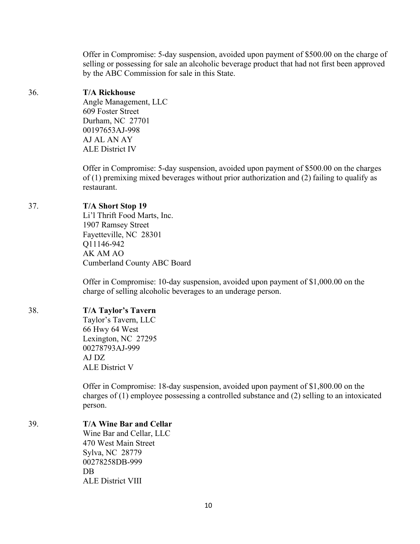Offer in Compromise: 5-day suspension, avoided upon payment of \$500.00 on the charge of selling or possessing for sale an alcoholic beverage product that had not first been approved by the ABC Commission for sale in this State.

## 36. **T/A Rickhouse**

Angle Management, LLC 609 Foster Street Durham, NC 27701 00197653AJ-998 AJ AL AN AY ALE District IV

Offer in Compromise: 5-day suspension, avoided upon payment of \$500.00 on the charges of (1) premixing mixed beverages without prior authorization and (2) failing to qualify as restaurant.

## 37. **T/A Short Stop 19**

Li'l Thrift Food Marts, Inc. 1907 Ramsey Street Fayetteville, NC 28301 Q11146-942 AK AM AO Cumberland County ABC Board

Offer in Compromise: 10-day suspension, avoided upon payment of \$1,000.00 on the charge of selling alcoholic beverages to an underage person.

# 38. **T/A Taylor's Tavern**

Taylor's Tavern, LLC 66 Hwy 64 West Lexington, NC 27295 00278793AJ-999 AJ DZ ALE District V

Offer in Compromise: 18-day suspension, avoided upon payment of \$1,800.00 on the charges of (1) employee possessing a controlled substance and (2) selling to an intoxicated person.

# 39. **T/A Wine Bar and Cellar**

Wine Bar and Cellar, LLC 470 West Main Street Sylva, NC 28779 00278258DB-999 DB ALE District VIII